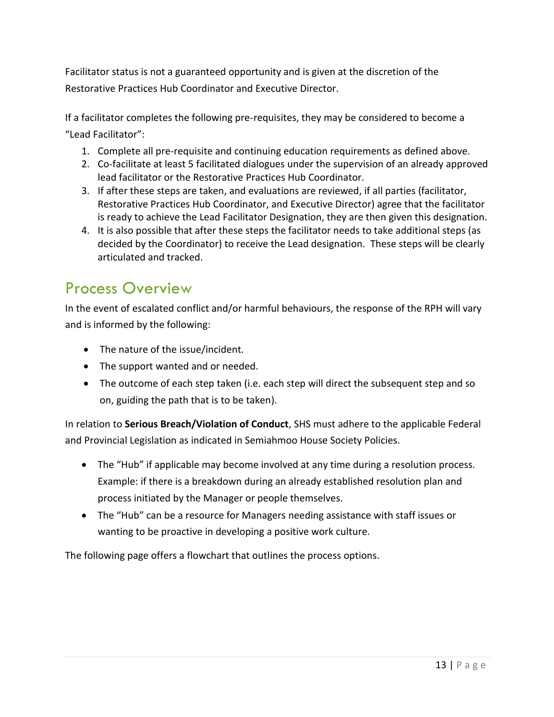Facilitator status is not a guaranteed opportunity and is given at the discretion of the Restorative Practices Hub Coordinator and Executive Director.

If a facilitator completes the following pre-requisites, they may be considered to become a "Lead Facilitator":

- 1. Complete all pre-requisite and continuing education requirements as defined above.
- 2. Co-facilitate at least 5 facilitated dialogues under the supervision of an already approved lead facilitator or the Restorative Practices Hub Coordinator.
- 3. If after these steps are taken, and evaluations are reviewed, if all parties (facilitator, Restorative Practices Hub Coordinator, and Executive Director) agree that the facilitator is ready to achieve the Lead Facilitator Designation, they are then given this designation.
- 4. It is also possible that after these steps the facilitator needs to take additional steps (as decided by the Coordinator) to receive the Lead designation. These steps will be clearly articulated and tracked.

# Process Overview

In the event of escalated conflict and/or harmful behaviours, the response of the RPH will vary and is informed by the following:

- The nature of the issue/incident.
- The support wanted and or needed.
- The outcome of each step taken (i.e. each step will direct the subsequent step and so on, guiding the path that is to be taken).

In relation to **Serious Breach/Violation of Conduct**, SHS must adhere to the applicable Federal and Provincial Legislation as indicated in Semiahmoo House Society Policies.

- The "Hub" if applicable may become involved at any time during a resolution process. Example: if there is a breakdown during an already established resolution plan and process initiated by the Manager or people themselves.
- The "Hub" can be a resource for Managers needing assistance with staff issues or wanting to be proactive in developing a positive work culture.

The following page offers a flowchart that outlines the process options.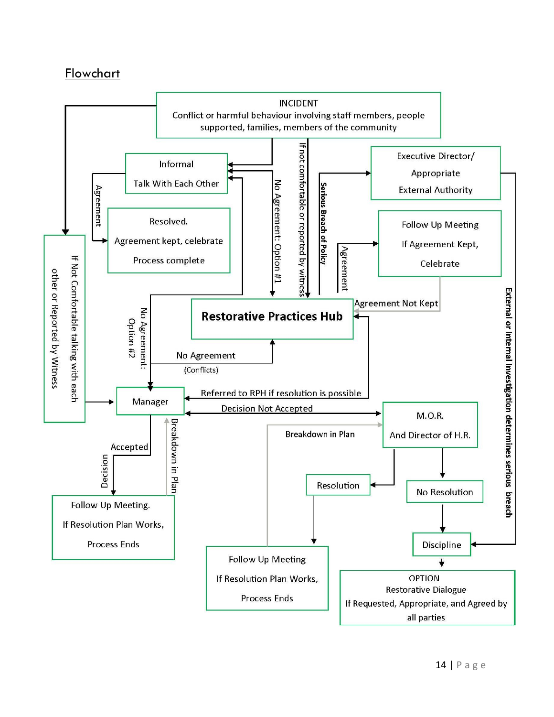### **Flowchart**

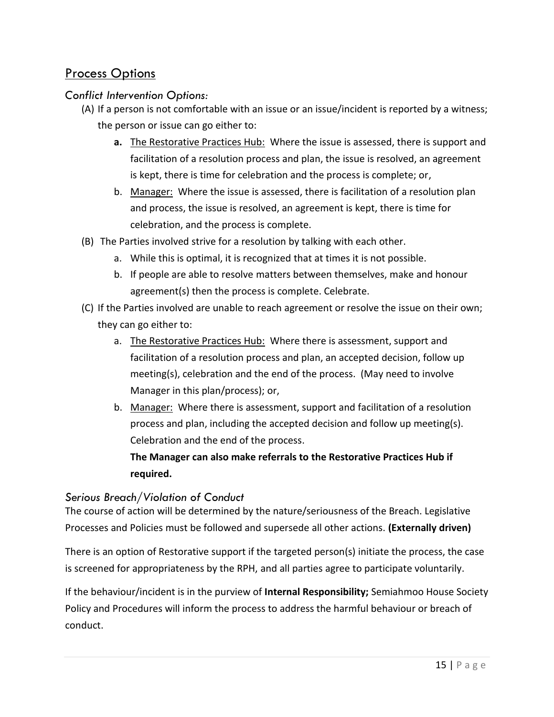### Process Options

### *Conflict Intervention Options:*

- (A) If a person is not comfortable with an issue or an issue/incident is reported by a witness; the person or issue can go either to:
	- **a.** The Restorative Practices Hub: Where the issue is assessed, there is support and facilitation of a resolution process and plan, the issue is resolved, an agreement is kept, there is time for celebration and the process is complete; or,
	- b. Manager: Where the issue is assessed, there is facilitation of a resolution plan and process, the issue is resolved, an agreement is kept, there is time for celebration, and the process is complete.
- (B) The Parties involved strive for a resolution by talking with each other.
	- a. While this is optimal, it is recognized that at times it is not possible.
	- b. If people are able to resolve matters between themselves, make and honour agreement(s) then the process is complete. Celebrate.
- (C) If the Parties involved are unable to reach agreement or resolve the issue on their own; they can go either to:
	- a. The Restorative Practices Hub: Where there is assessment, support and facilitation of a resolution process and plan, an accepted decision, follow up meeting(s), celebration and the end of the process. (May need to involve Manager in this plan/process); or,
	- b. Manager: Where there is assessment, support and facilitation of a resolution process and plan, including the accepted decision and follow up meeting(s). Celebration and the end of the process.

**The Manager can also make referrals to the Restorative Practices Hub if required.**

### *Serious Breach/Violation of Conduct*

The course of action will be determined by the nature/seriousness of the Breach. Legislative Processes and Policies must be followed and supersede all other actions. **(Externally driven)**

There is an option of Restorative support if the targeted person(s) initiate the process, the case is screened for appropriateness by the RPH, and all parties agree to participate voluntarily.

If the behaviour/incident is in the purview of **Internal Responsibility;** Semiahmoo House Society Policy and Procedures will inform the process to address the harmful behaviour or breach of conduct.